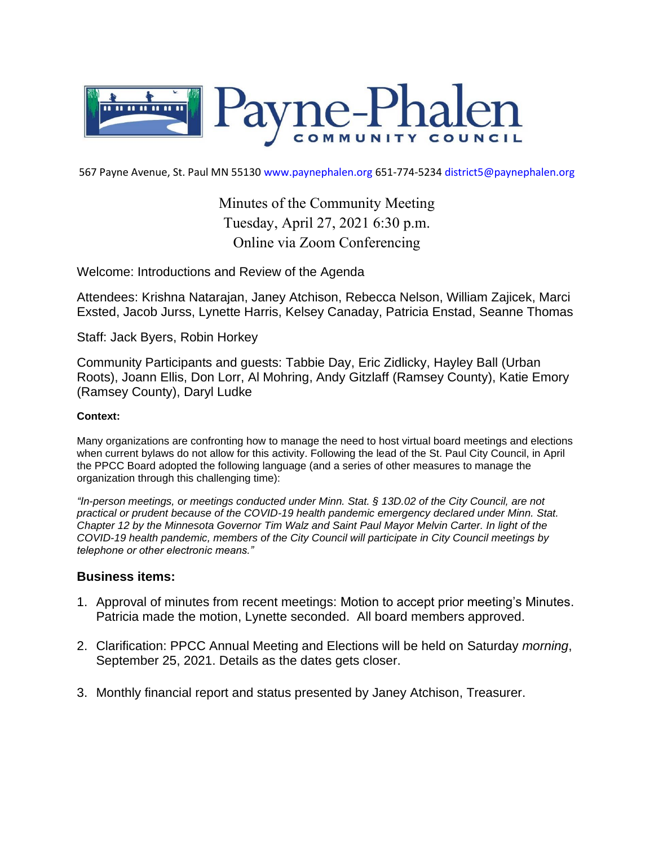

567 Payne Avenue, St. Paul MN 55130 www.paynephalen.org 651-774-5234 district5@paynephalen.org

Minutes of the Community Meeting Tuesday, April 27, 2021 6:30 p.m. Online via Zoom Conferencing

Welcome: Introductions and Review of the Agenda

Attendees: Krishna Natarajan, Janey Atchison, Rebecca Nelson, William Zajicek, Marci Exsted, Jacob Jurss, Lynette Harris, Kelsey Canaday, Patricia Enstad, Seanne Thomas

Staff: Jack Byers, Robin Horkey

Community Participants and guests: Tabbie Day, Eric Zidlicky, Hayley Ball (Urban Roots), Joann Ellis, Don Lorr, Al Mohring, Andy Gitzlaff (Ramsey County), Katie Emory (Ramsey County), Daryl Ludke

#### **Context:**

Many organizations are confronting how to manage the need to host virtual board meetings and elections when current bylaws do not allow for this activity. Following the lead of the St. Paul City Council, in April the PPCC Board adopted the following language (and a series of other measures to manage the organization through this challenging time):

*"In-person meetings, or meetings conducted under Minn. Stat. § 13D.02 of the City Council, are not practical or prudent because of the COVID-19 health pandemic emergency declared under Minn. Stat. Chapter 12 by the Minnesota Governor Tim Walz and Saint Paul Mayor Melvin Carter. In light of the COVID-19 health pandemic, members of the City Council will participate in City Council meetings by telephone or other electronic means."*

#### **Business items:**

- 1. Approval of minutes from recent meetings: Motion to accept prior meeting's Minutes. Patricia made the motion, Lynette seconded. All board members approved.
- 2. Clarification: PPCC Annual Meeting and Elections will be held on Saturday *morning*, September 25, 2021. Details as the dates gets closer.
- 3. Monthly financial report and status presented by Janey Atchison, Treasurer.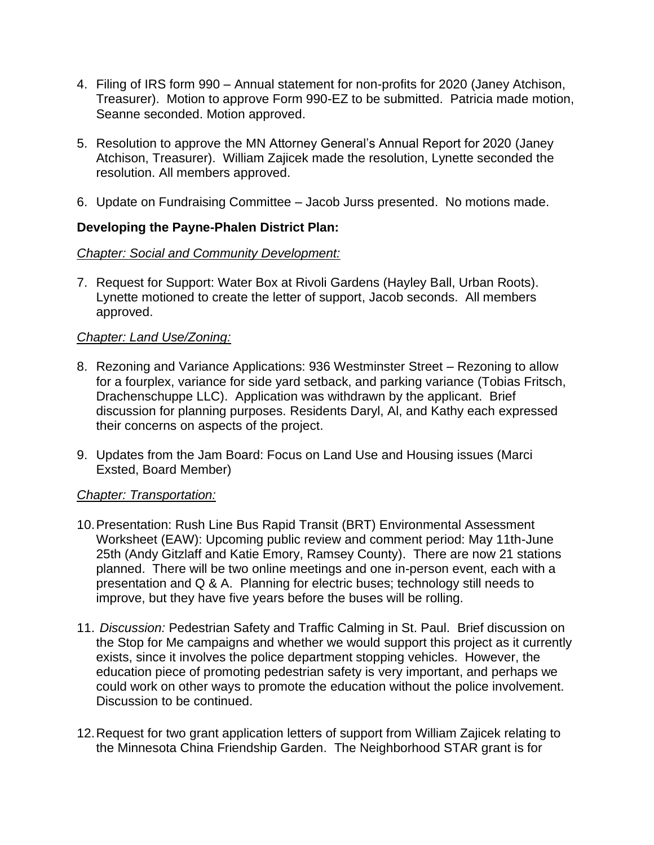- 4. Filing of IRS form 990 Annual statement for non-profits for 2020 (Janey Atchison, Treasurer). Motion to approve Form 990-EZ to be submitted. Patricia made motion, Seanne seconded. Motion approved.
- 5. Resolution to approve the MN Attorney General's Annual Report for 2020 (Janey Atchison, Treasurer). William Zajicek made the resolution, Lynette seconded the resolution. All members approved.
- 6. Update on Fundraising Committee Jacob Jurss presented. No motions made.

# **Developing the Payne-Phalen District Plan:**

## *Chapter: Social and Community Development:*

7. Request for Support: Water Box at Rivoli Gardens (Hayley Ball, Urban Roots). Lynette motioned to create the letter of support, Jacob seconds. All members approved.

# *Chapter: Land Use/Zoning:*

- 8. Rezoning and Variance Applications: 936 Westminster Street Rezoning to allow for a fourplex, variance for side yard setback, and parking variance (Tobias Fritsch, Drachenschuppe LLC). Application was withdrawn by the applicant. Brief discussion for planning purposes. Residents Daryl, Al, and Kathy each expressed their concerns on aspects of the project.
- 9. Updates from the Jam Board: Focus on Land Use and Housing issues (Marci Exsted, Board Member)

## *Chapter: Transportation:*

- 10.Presentation: Rush Line Bus Rapid Transit (BRT) Environmental Assessment Worksheet (EAW): Upcoming public review and comment period: May 11th-June 25th (Andy Gitzlaff and Katie Emory, Ramsey County). There are now 21 stations planned. There will be two online meetings and one in-person event, each with a presentation and Q & A. Planning for electric buses; technology still needs to improve, but they have five years before the buses will be rolling.
- 11. *Discussion:* Pedestrian Safety and Traffic Calming in St. Paul. Brief discussion on the Stop for Me campaigns and whether we would support this project as it currently exists, since it involves the police department stopping vehicles. However, the education piece of promoting pedestrian safety is very important, and perhaps we could work on other ways to promote the education without the police involvement. Discussion to be continued.
- 12.Request for two grant application letters of support from William Zajicek relating to the Minnesota China Friendship Garden. The Neighborhood STAR grant is for